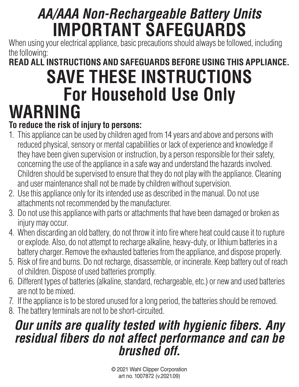## *AA/AAA Non-Rechargeable Battery Units* **IMPORTANT SAFEGUARDS**

When using your electrical appliance, basic precautions should always be followed, including the following:

### **READ ALL INSTRUCTIONS AND SAFEGUARDS BEFORE USING THIS APPLIANCE. SAVE THESE INSTRUCTIONS For Household Use Only WARNING**

#### **To reduce the risk of injury to persons:**

- 1. This appliance can be used by children aged from 14 years and above and persons with reduced physical, sensory or mental capabilities or lack of experience and knowledge if they have been given supervision or instruction, by a person responsible for their safety, concerning the use of the appliance in a safe way and understand the hazards involved. Children should be supervised to ensure that they do not play with the appliance. Cleaning and user maintenance shall not be made by children without supervision.
- 2. Use this appliance only for its intended use as described in the manual. Do not use attachments not recommended by the manufacturer.
- 3. Do not use this appliance with parts or attachments that have been damaged or broken as injury may occur.
- 4. When discarding an old battery, do not throw it into fire where heat could cause it to rupture or explode. Also, do not attempt to recharge alkaline, heavy-duty, or lithium batteries in a battery charger. Remove the exhausted batteries from the appliance, and dispose properly.
- 5. Risk of fire and burns. Do not recharge, disassemble, or incinerate. Keep battery out of reach of children. Dispose of used batteries promptly.
- 6. Different types of batteries (alkaline, standard, rechargeable, etc.) or new and used batteries are not to be mixed.
- 7. If the appliance is to be stored unused for a long period, the batteries should be removed.
- 8. The battery terminals are not to be short-circuited.

### *Our units are quality tested with hygienic fibers. Any residual fibers do not affect performance and can be brushed off.*